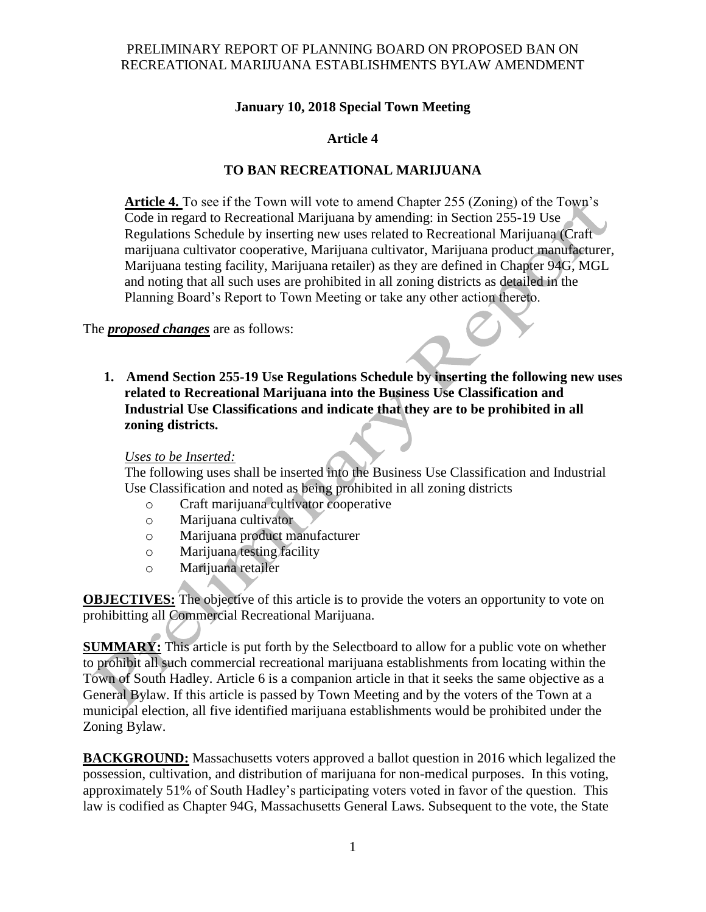#### PRELIMINARY REPORT OF PLANNING BOARD ON PROPOSED BAN ON RECREATIONAL MARIJUANA ESTABLISHMENTS BYLAW AMENDMENT

## **January 10, 2018 Special Town Meeting**

# **Article 4**

# **TO BAN RECREATIONAL MARIJUANA**

**Article 4.** To see if the Town will vote to amend Chapter 255 (Zoning) of the Town's Code in regard to Recreational Marijuana by amending: in Section 255-19 Use Regulations Schedule by inserting new uses related to Recreational Marijuana (Craft marijuana cultivator cooperative, Marijuana cultivator, Marijuana product manufacturer, Marijuana testing facility, Marijuana retailer) as they are defined in Chapter 94G, MGL and noting that all such uses are prohibited in all zoning districts as detailed in the Planning Board's Report to Town Meeting or take any other action thereto.

The *proposed changes* are as follows:

**1. Amend Section 255-19 Use Regulations Schedule by inserting the following new uses related to Recreational Marijuana into the Business Use Classification and Industrial Use Classifications and indicate that they are to be prohibited in all zoning districts.**

#### *Uses to be Inserted:*

The following uses shall be inserted into the Business Use Classification and Industrial Use Classification and noted as being prohibited in all zoning districts

- o Craft marijuana cultivator cooperative
- o Marijuana cultivator
- o Marijuana product manufacturer
- o Marijuana testing facility
- o Marijuana retailer

**OBJECTIVES:** The objective of this article is to provide the voters an opportunity to vote on prohibitting all Commercial Recreational Marijuana.

**SUMMARY:** This article is put forth by the Selectboard to allow for a public vote on whether to prohibit all such commercial recreational marijuana establishments from locating within the Town of South Hadley. Article 6 is a companion article in that it seeks the same objective as a General Bylaw. If this article is passed by Town Meeting and by the voters of the Town at a municipal election, all five identified marijuana establishments would be prohibited under the Zoning Bylaw.

**BACKGROUND:** Massachusetts voters approved a ballot question in 2016 which legalized the possession, cultivation, and distribution of marijuana for non-medical purposes. In this voting, approximately 51% of South Hadley's participating voters voted in favor of the question. This law is codified as Chapter 94G, Massachusetts General Laws. Subsequent to the vote, the State